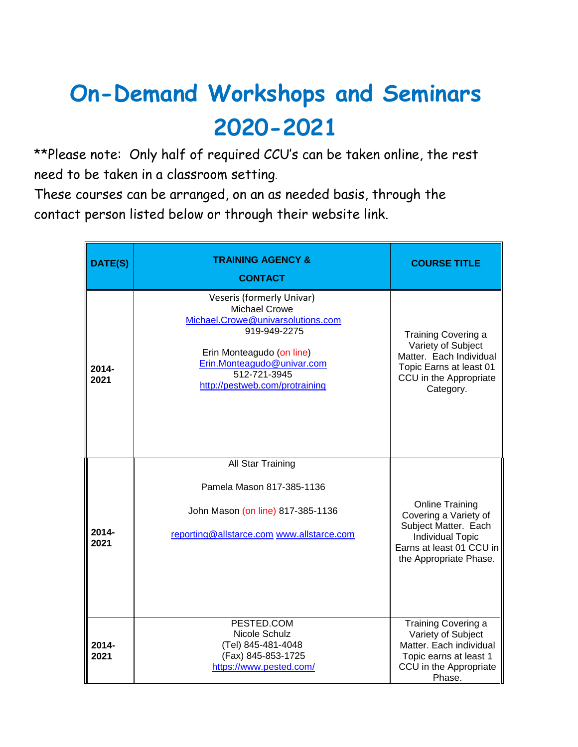## **On-Demand Workshops and Seminars 2020-2021**

\*\*Please note: Only half of required CCU's can be taken online, the rest need to be taken in a classroom setting.

These courses can be arranged, on an as needed basis, through the contact person listed below or through their website link.

| DATE(S)       | TRAINING AGENCY &<br><b>CONTACT</b>                                                                                                                                                                                 | <b>COURSE TITLE</b>                                                                                                                                      |
|---------------|---------------------------------------------------------------------------------------------------------------------------------------------------------------------------------------------------------------------|----------------------------------------------------------------------------------------------------------------------------------------------------------|
| 2014-<br>2021 | Veseris (formerly Univar)<br><b>Michael Crowe</b><br>Michael.Crowe@univarsolutions.com<br>919-949-2275<br>Erin Monteagudo (on line)<br>Erin.Monteagudo@univar.com<br>512-721-3945<br>http://pestweb.com/protraining | Training Covering a<br>Variety of Subject<br>Matter. Each Individual<br>Topic Earns at least 01<br>CCU in the Appropriate<br>Category.                   |
| 2014-<br>2021 | All Star Training<br>Pamela Mason 817-385-1136<br>John Mason (on line) 817-385-1136<br>reporting@allstarce.com www.allstarce.com                                                                                    | <b>Online Training</b><br>Covering a Variety of<br>Subject Matter. Each<br><b>Individual Topic</b><br>Earns at least 01 CCU in<br>the Appropriate Phase. |
| 2014-<br>2021 | PESTED.COM<br>Nicole Schulz<br>(Tel) 845-481-4048<br>(Fax) 845-853-1725<br>https://www.pested.com/                                                                                                                  | Training Covering a<br>Variety of Subject<br>Matter, Each individual<br>Topic earns at least 1<br>CCU in the Appropriate<br>Phase.                       |